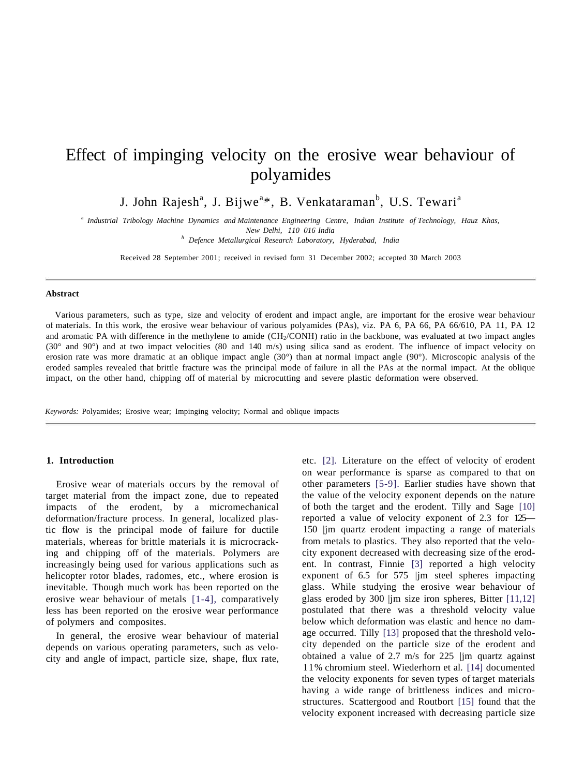# Effect of impinging velocity on the erosive wear behaviour of polyamides

J. John Rajesh<sup>a</sup>, J. Bijwe<sup>a</sup>\*, B. Venkataraman<sup>b</sup>, U.S. Tewari<sup>a</sup>

a  *Industrial Tribology Machine Dynamics and Maintenance Engineering Centre, Indian Institute of Technology, Hauz Khas, New Delhi, 110 016 India*

*h Defence Metallurgical Research Laboratory, Hyderabad, India*

Received 28 September 2001; received in revised form 31 December 2002; accepted 30 March 2003

#### **Abstract**

Various parameters, such as type, size and velocity of erodent and impact angle, are important for the erosive wear behaviour of materials. In this work, the erosive wear behaviour of various polyamides (PAs), viz. PA 6, PA 66, PA 66/610, PA 11, PA 12 and aromatic PA with difference in the methylene to amide  $(CH<sub>2</sub>/COMH)$  ratio in the backbone, was evaluated at two impact angles (30° and 90°) and at two impact velocities (80 and 140 m/s) using silica sand as erodent. The influence of impact velocity on erosion rate was more dramatic at an oblique impact angle  $(30^{\circ})$  than at normal impact angle  $(90^{\circ})$ . Microscopic analysis of the eroded samples revealed that brittle fracture was the principal mode of failure in all the PAs at the normal impact. At the oblique impact, on the other hand, chipping off of material by microcutting and severe plastic deformation were observed.

*Keywords:* Polyamides; Erosive wear; Impinging velocity; Normal and oblique impacts

#### **1. Introduction**

Erosive wear of materials occurs by the removal of target material from the impact zone, due to repeated impacts of the erodent, by a micromechanical deformation/fracture process. In general, localized plastic flow is the principal mode of failure for ductile materials, whereas for brittle materials it is microcracking and chipping off of the materials. Polymers are increasingly being used for various applications such as helicopter rotor blades, radomes, etc., where erosion is inevitable. Though much work has been reported on the erosive wear behaviour of metals [1-4], comparatively less has been reported on the erosive wear performance of polymers and composites.

In general, the erosive wear behaviour of material depends on various operating parameters, such as velocity and angle of impact, particle size, shape, flux rate, etc. [2]. Literature on the effect of velocity of erodent on wear performance is sparse as compared to that on other parameters [5-9]. Earlier studies have shown that the value of the velocity exponent depends on the nature of both the target and the erodent. Tilly and Sage [10] reported a value of velocity exponent of 2.3 for 125— 150 |jm quartz erodent impacting a range of materials from metals to plastics. They also reported that the velocity exponent decreased with decreasing size of the erodent. In contrast, Finnie [3] reported a high velocity exponent of 6.5 for 575 |jm steel spheres impacting glass. While studying the erosive wear behaviour of glass eroded by 300 |jm size iron spheres, Bitter [11,12] postulated that there was a threshold velocity value below which deformation was elastic and hence no damage occurred. Tilly [13] proposed that the threshold velocity depended on the particle size of the erodent and obtained a value of 2.7 m/s for 225 |jm quartz against 11% chromium steel. Wiederhorn et al. [14] documented the velocity exponents for seven types of target materials having a wide range of brittleness indices and microstructures. Scattergood and Routbort [15] found that the velocity exponent increased with decreasing particle size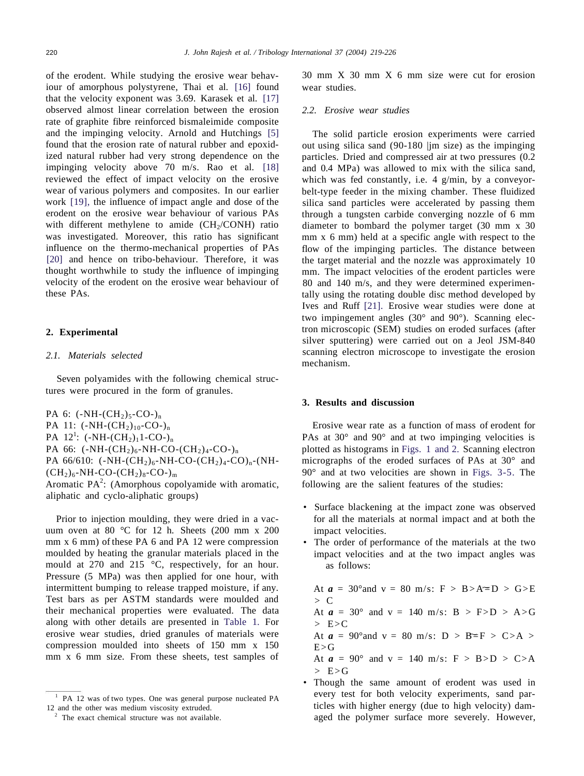of the erodent. While studying the erosive wear behaviour of amorphous polystyrene, Thai et al. [16] found that the velocity exponent was 3.69. Karasek et al. [17] observed almost linear correlation between the erosion rate of graphite fibre reinforced bismaleimide composite and the impinging velocity. Arnold and Hutchings [5] found that the erosion rate of natural rubber and epoxidized natural rubber had very strong dependence on the impinging velocity above 70 m/s. Rao et al. [18] reviewed the effect of impact velocity on the erosive wear of various polymers and composites. In our earlier work [19], the influence of impact angle and dose of the erodent on the erosive wear behaviour of various PAs with different methylene to amide  $(CH<sub>2</sub>/CONH)$  ratio was investigated. Moreover, this ratio has significant influence on the thermo-mechanical properties of PAs [20] and hence on tribo-behaviour. Therefore, it was thought worthwhile to study the influence of impinging velocity of the erodent on the erosive wear behaviour of these PAs.

## **2. Experimental**

## *2.1. Materials selected*

Seven polyamides with the following chemical structures were procured in the form of granules.

PA 6:  $(-NH-(CH_2)_5-CO_1)_n$ PA 11:  $(-NH-(CH<sub>2</sub>)<sub>10</sub>-CO<sub>-</sub>)<sub>n</sub>$ PA  $12^1$ : (-NH-(CH<sub>2</sub>)<sub>1</sub>1-CO-)<sub>n</sub> PA 66:  $(-NH-(CH<sub>2</sub>)<sub>6</sub>-NH-CO-(CH<sub>2</sub>)<sub>4</sub>-CO<sub>-</sub>)<sub>n</sub>$ PA 66/610:  $(-NH-(CH_2)_6-NH-CO-(CH_2)_4-CO)_n-(NH (CH<sub>2</sub>)<sub>6</sub>$ -NH-CO-(CH<sub>2</sub>)<sub>8</sub>-CO-)<sub>m</sub> Aromatic  $PA^2$ : (Amorphous copolyamide with aromatic, aliphatic and cyclo-aliphatic groups)

Prior to injection moulding, they were dried in a vacuum oven at 80 °C for 12 h. Sheets (200 mm x 200 mm x 6 mm) of these PA 6 and PA 12 were compression moulded by heating the granular materials placed in the mould at 270 and 215 °C, respectively, for an hour. Pressure (5 MPa) was then applied for one hour, with intermittent bumping to release trapped moisture, if any. Test bars as per ASTM standards were moulded and their mechanical properties were evaluated. The data along with other details are presented in Table 1. For erosive wear studies, dried granules of materials were compression moulded into sheets of 150 mm x 150 mm x 6 mm size. From these sheets, test samples of

30 mm X 30 mm X 6 mm size were cut for erosion wear studies.

## *2.2. Erosive wear studies*

The solid particle erosion experiments were carried out using silica sand (90-180 |jm size) as the impinging particles. Dried and compressed air at two pressures (0.2 and 0.4 MPa) was allowed to mix with the silica sand, which was fed constantly, i.e. 4 g/min, by a conveyorbelt-type feeder in the mixing chamber. These fluidized silica sand particles were accelerated by passing them through a tungsten carbide converging nozzle of 6 mm diameter to bombard the polymer target (30 mm x 30 mm x 6 mm) held at a specific angle with respect to the flow of the impinging particles. The distance between the target material and the nozzle was approximately 10 mm. The impact velocities of the erodent particles were 80 and 140 m/s, and they were determined experimentally using the rotating double disc method developed by Ives and Ruff [21]. Erosive wear studies were done at two impingement angles (30° and 90°). Scanning electron microscopic (SEM) studies on eroded surfaces (after silver sputtering) were carried out on a Jeol JSM-840 scanning electron microscope to investigate the erosion mechanism.

### **3. Results and discussion**

Erosive wear rate as a function of mass of erodent for PAs at 30° and 90° and at two impinging velocities is plotted as histograms in Figs. 1 and 2. Scanning electron micrographs of the eroded surfaces of PAs at 30° and 90° and at two velocities are shown in Figs. 3-5. The following are the salient features of the studies:

- Surface blackening at the impact zone was observed for all the materials at normal impact and at both the impact velocities.
- The order of performance of the materials at the two impact velocities and at the two impact angles was as follows:

At  $a = 30^{\circ}$  and  $v = 80$  m/s:  $F > B > A \equiv D > G > E$  $> C$ 

At  $a = 30^{\circ}$  and  $v = 140$  m/s:  $B > F > D > A > G$  $\geq$  E $\geq$ C

At  $a = 90^{\circ}$  and  $v = 80$  m/s:  $D > B \equiv F > C > A >$  $E > G$ 

At  $a = 90^{\circ}$  and  $v = 140$  m/s:  $F > B > D > C > A$  $>E>$ 

• Though the same amount of erodent was used in every test for both velocity experiments, sand particles with higher energy (due to high velocity) damaged the polymer surface more severely. However,

<sup>1</sup> PA 12 was of two types. One was general purpose nucleated PA 12 and the other was medium viscosity extruded.

<sup>&</sup>lt;sup>2</sup> The exact chemical structure was not available.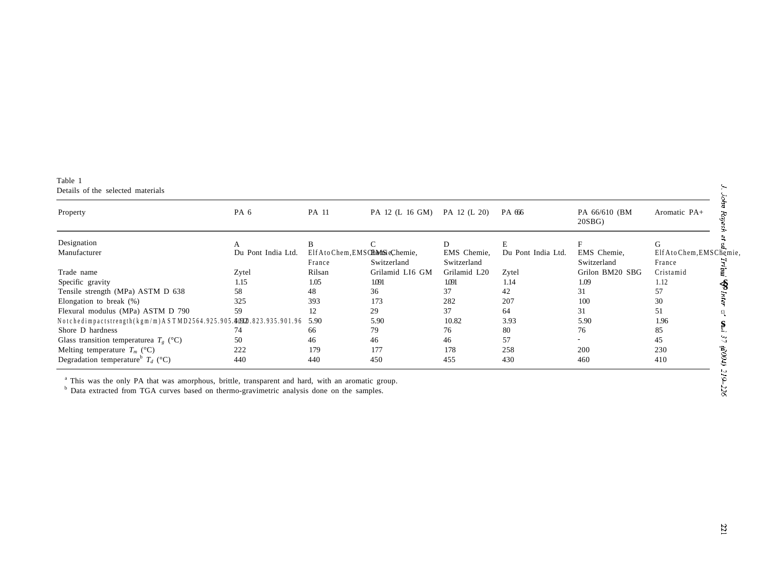Table 1 Details of the selected materials

| Property                                                              | PA <sub>6</sub>    | PA 11                                     | PA 12 (L 16 GM) | PA 12 (L 20)               | PA 666             | PA 66/610 (BM<br>20SBG     | Aromatic PA+                        |
|-----------------------------------------------------------------------|--------------------|-------------------------------------------|-----------------|----------------------------|--------------------|----------------------------|-------------------------------------|
| Designation                                                           |                    | B                                         |                 | D                          | E                  |                            | G                                   |
| Manufacturer                                                          | Du Pont India Ltd. | Elf Ato Chem, EMS CEMS eChemie,<br>France | Switzerland     | EMS Chemie,<br>Switzerland | Du Pont India Ltd. | EMS Chemie,<br>Switzerland | Elf Ato Chem, EMS Chemie,<br>France |
| Trade name                                                            | Zytel              | Rilsan                                    | Grilamid LI6 GM | Grilamid L20               | Zytel              | Grilon BM20 SBG            | Cristamid                           |
| Specific gravity                                                      | 1.15               | 1.05                                      | 1.091           | 1091                       | 1.14               | 1.09                       | 1.12                                |
| Tensile strength (MPa) ASTM D 638                                     | 58                 | 48                                        | 36              | 37                         | 42                 | 31                         | 57                                  |
| Elongation to break $(\%)$                                            | 325                | 393                                       | 173             | 282                        | 207                | 100                        | 30                                  |
| Flexural modulus (MPa) ASTM D 790                                     | 59.                | 12                                        | 29              | 37                         | 64                 | 31                         | 51                                  |
| Notchedimpactstrength (kgm/m) A STMD2564.925.905.40920.823.935.901.96 |                    | 5.90                                      | 5.90            | 10.82                      | 3.93               | 5.90                       | 1.96                                |
| Shore D hardness                                                      | 74                 | 66                                        | 79              | 76                         | 80                 | 76                         | 85                                  |
| Glass transition temperaturea $T_e$ (°C)                              | 50                 | 46                                        | 46              | 46                         | 57                 |                            | 45                                  |
| Melting temperature $T_m$ (°C)                                        | 222                | 179                                       | 177             | 178                        | 258                | 200                        | is<br>S<br>230                      |
| Degradation temperature <sup>b</sup> $T_d$ (°C)                       | 440                | 440                                       | 450             | 455                        | 430                | 460                        | 410                                 |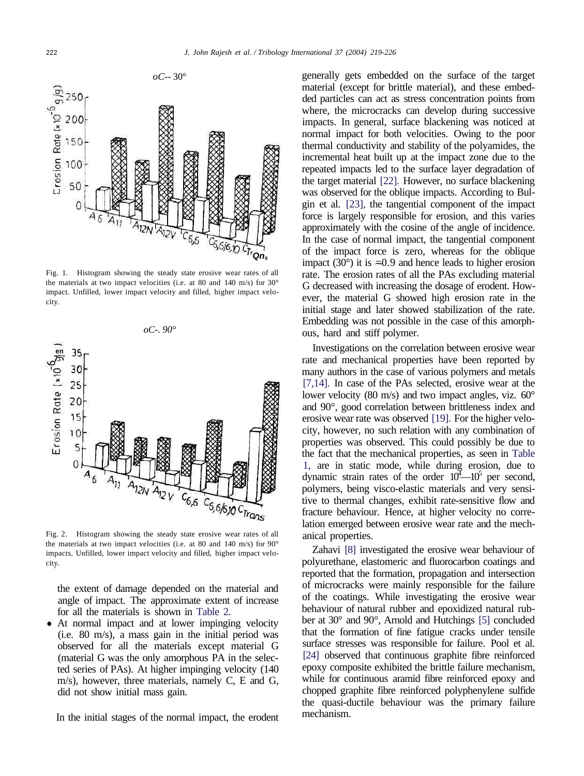

Fig. 1. Histogram showing the steady state erosive wear rates of all the materials at two impact velocities (i.e. at 80 and 140 m/s) for 30° impact. Unfilled, lower impact velocity and filled, higher impact velocity.



Fig. 2. Histogram showing the steady state erosive wear rates of all the materials at two impact velocities (i.e. at 80 and 140 m/s) for  $90^{\circ}$ impacts. Unfilled, lower impact velocity and filled, higher impact velocity.

the extent of damage depended on the material and angle of impact. The approximate extent of increase for all the materials is shown in Table 2.

At normal impact and at lower impinging velocity (i.e. 80 m/s), a mass gain in the initial period was observed for all the materials except material G (material G was the only amorphous PA in the selected series of PAs). At higher impinging velocity (140 m/s), however, three materials, namely C, E and G, did not show initial mass gain.

In the initial stages of the normal impact, the erodent

generally gets embedded on the surface of the target material (except for brittle material), and these embedded particles can act as stress concentration points from where, the microcracks can develop during successive impacts. In general, surface blackening was noticed at normal impact for both velocities. Owing to the poor thermal conductivity and stability of the polyamides, the incremental heat built up at the impact zone due to the repeated impacts led to the surface layer degradation of the target material [22]. However, no surface blackening was observed for the oblique impacts. According to Bulgin et al. [23], the tangential component of the impact force is largely responsible for erosion, and this varies approximately with the cosine of the angle of incidence. In the case of normal impact, the tangential component of the impact force is zero, whereas for the oblique impact (30 $^{\circ}$ ) it is  $\approx 0.9$  and hence leads to higher erosion rate. The erosion rates of all the PAs excluding material G decreased with increasing the dosage of erodent. However, the material G showed high erosion rate in the initial stage and later showed stabilization of the rate. Embedding was not possible in the case of this amorphous, hard and stiff polymer.

Investigations on the correlation between erosive wear rate and mechanical properties have been reported by many authors in the case of various polymers and metals [7,14]. In case of the PAs selected, erosive wear at the lower velocity (80 m/s) and two impact angles, viz.  $60^{\circ}$ and 90°, good correlation between brittleness index and erosive wear rate was observed [19]. For the higher velocity, however, no such relation with any combination of properties was observed. This could possibly be due to the fact that the mechanical properties, as seen in Table 1, are in static mode, while during erosion, due to dynamic strain rates of the order  $10^4$ — $10^5$  per second, polymers, being visco-elastic materials and very sensitive to thermal changes, exhibit rate-sensitive flow and fracture behaviour. Hence, at higher velocity no correlation emerged between erosive wear rate and the mechanical properties.

Zahavi [8] investigated the erosive wear behaviour of polyurethane, elastomeric and fluorocarbon coatings and reported that the formation, propagation and intersection of microcracks were mainly responsible for the failure of the coatings. While investigating the erosive wear behaviour of natural rubber and epoxidized natural rubber at 30° and 90°, Arnold and Hutchings [5] concluded that the formation of fine fatigue cracks under tensile surface stresses was responsible for failure. Pool et al. [24] observed that continuous graphite fibre reinforced epoxy composite exhibited the brittle failure mechanism, while for continuous aramid fibre reinforced epoxy and chopped graphite fibre reinforced polyphenylene sulfide the quasi-ductile behaviour was the primary failure mechanism.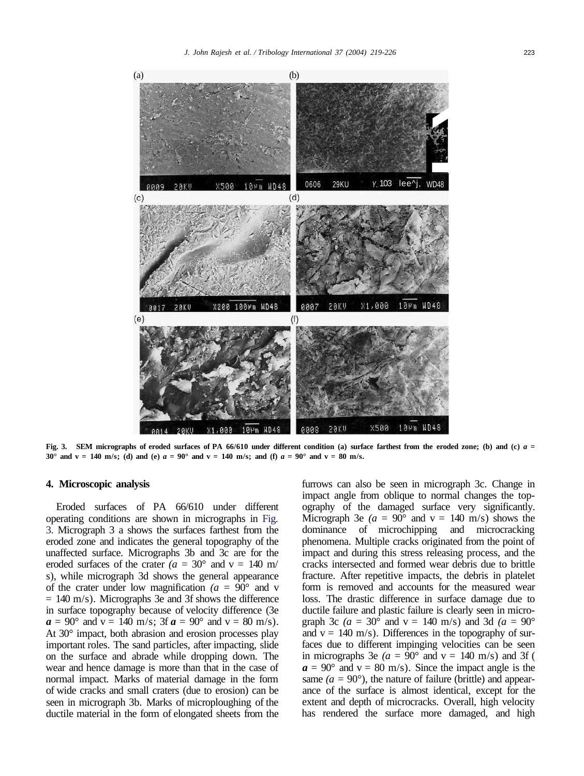

**Fig. 3. SEM micrographs of eroded surfaces of PA 66/610 under different condition (a) surface farthest from the eroded zone; (b) and (c)** *a =* **30° and v = 140 m/s;** (d) and (e)  $a = 90^\circ$  and v = 140 m/s; and (f)  $a = 90^\circ$  and v = 80 m/s.

## **4. Microscopic analysis**

Eroded surfaces of PA 66/610 under different operating conditions are shown in micrographs in Fig. 3. Micrograph 3 a shows the surfaces farthest from the eroded zone and indicates the general topography of the unaffected surface. Micrographs 3b and 3c are for the eroded surfaces of the crater  $(a = 30^{\circ} \text{ and } v = 140 \text{ m/s})$ s), while micrograph 3d shows the general appearance of the crater under low magnification  $(a = 90^{\circ})$  and v  $= 140$  m/s). Micrographs 3e and 3f shows the difference in surface topography because of velocity difference (3e  $a = 90^{\circ}$  and  $v = 140$  m/s; 3f  $a = 90^{\circ}$  and  $v = 80$  m/s). At 30° impact, both abrasion and erosion processes play important roles. The sand particles, after impacting, slide on the surface and abrade while dropping down. The wear and hence damage is more than that in the case of normal impact. Marks of material damage in the form of wide cracks and small craters (due to erosion) can be seen in micrograph 3b. Marks of microploughing of the ductile material in the form of elongated sheets from the furrows can also be seen in micrograph 3c. Change in impact angle from oblique to normal changes the topography of the damaged surface very significantly. Micrograph 3e ( $a = 90^{\circ}$  and  $v = 140$  m/s) shows the dominance of microchipping and microcracking phenomena. Multiple cracks originated from the point of impact and during this stress releasing process, and the cracks intersected and formed wear debris due to brittle fracture. After repetitive impacts, the debris in platelet form is removed and accounts for the measured wear loss. The drastic difference in surface damage due to ductile failure and plastic failure is clearly seen in micrograph 3c ( $a = 30^\circ$  and  $v = 140$  m/s) and 3d ( $a = 90^\circ$ ) and  $v = 140$  m/s). Differences in the topography of surfaces due to different impinging velocities can be seen in micrographs 3e  $(a = 90^{\circ} \text{ and } v = 140 \text{ m/s})$  and 3f (  $a = 90^{\circ}$  and  $v = 80$  m/s). Since the impact angle is the same *(a =* 90°), the nature of failure (brittle) and appearance of the surface is almost identical, except for the extent and depth of microcracks. Overall, high velocity has rendered the surface more damaged, and high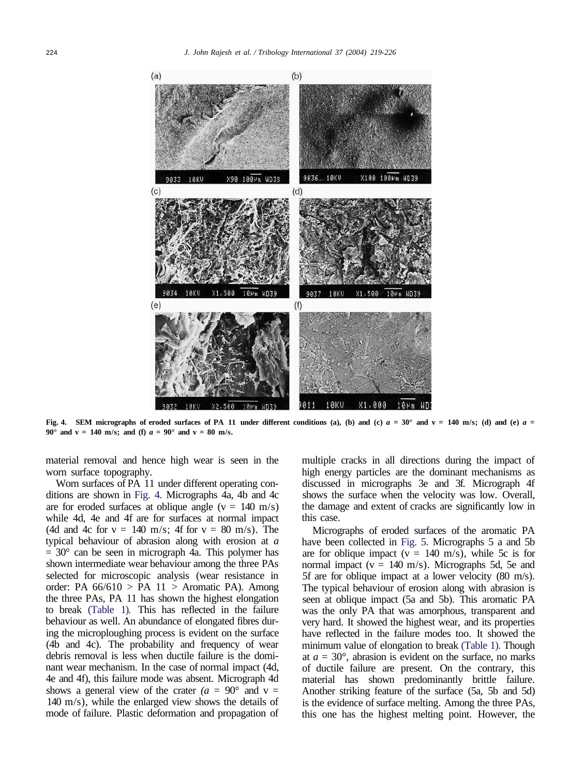

**Fig. 4.** SEM micrographs of eroded surfaces of PA 11 under different conditions (a), (b) and (c)  $a = 30^\circ$  and v = 140 m/s; (d) and (e)  $a =$ **90° and v = 140 m/s; and (f)**  $a = 90$ ° and v = 80 m/s.

material removal and hence high wear is seen in the worn surface topography.

Worn surfaces of PA 11 under different operating conditions are shown in Fig. 4. Micrographs 4a, 4b and 4c are for eroded surfaces at oblique angle ( $v = 140$  m/s) while 4d, 4e and 4f are for surfaces at normal impact (4d and 4c for  $v = 140$  m/s; 4f for  $v = 80$  m/s). The typical behaviour of abrasion along with erosion at *a*  $= 30^{\circ}$  can be seen in micrograph 4a. This polymer has shown intermediate wear behaviour among the three PAs selected for microscopic analysis (wear resistance in order: PA  $66/610$  > PA  $11$  > Aromatic PA). Among the three PAs, PA 11 has shown the highest elongation to break (Table 1). This has reflected in the failure behaviour as well. An abundance of elongated fibres during the microploughing process is evident on the surface (4b and 4c). The probability and frequency of wear debris removal is less when ductile failure is the dominant wear mechanism. In the case of normal impact (4d, 4e and 4f), this failure mode was absent. Micrograph 4d shows a general view of the crater  $(a = 90^{\circ}$  and v = 140 m/s), while the enlarged view shows the details of mode of failure. Plastic deformation and propagation of multiple cracks in all directions during the impact of high energy particles are the dominant mechanisms as discussed in micrographs 3e and 3f. Micrograph 4f shows the surface when the velocity was low. Overall, the damage and extent of cracks are significantly low in this case.

Micrographs of eroded surfaces of the aromatic PA have been collected in Fig. 5. Micrographs 5 a and 5b are for oblique impact ( $v = 140$  m/s), while 5c is for normal impact ( $v = 140$  m/s). Micrographs 5d, 5e and 5f are for oblique impact at a lower velocity (80 m/s). The typical behaviour of erosion along with abrasion is seen at oblique impact (5a and 5b). This aromatic PA was the only PA that was amorphous, transparent and very hard. It showed the highest wear, and its properties have reflected in the failure modes too. It showed the minimum value of elongation to break (Table 1). Though at *a =* 30°, abrasion is evident on the surface, no marks of ductile failure are present. On the contrary, this material has shown predominantly brittle failure. Another striking feature of the surface (5a, 5b and 5d) is the evidence of surface melting. Among the three PAs, this one has the highest melting point. However, the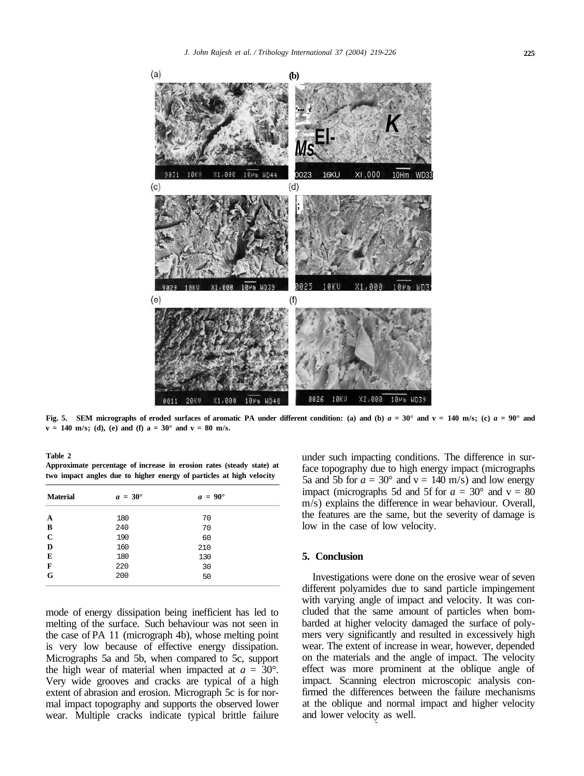

**Fig. 5.** SEM micrographs of eroded surfaces of aromatic PA under different condition: (a) and (b)  $a = 30^\circ$  and  $v = 140$  m/s; (c)  $a = 90^\circ$  and  $v = 140$  m/s; (d), (e) and (f)  $a = 30^{\circ}$  and  $v = 80$  m/s.

**Table 2**

**Approximate percentage of increase in erosion rates (steady state) at two impact angles due to higher energy of particles at high velocity**

| <b>Material</b> | $a = 30^{\circ}$ | $a = 90^{\circ}$ |  |
|-----------------|------------------|------------------|--|
| A               | 180              | 70               |  |
| B               | 240              | 70               |  |
| $\mathbf C$     | 190              | 60               |  |
| D               | 160              | 210              |  |
| E               | 180              | 130              |  |
| F               | 220              | 30               |  |
| G               | 200              | 50               |  |

mode of energy dissipation being inefficient has led to melting of the surface. Such behaviour was not seen in the case of PA 11 (micrograph 4b), whose melting point is very low because of effective energy dissipation. Micrographs 5a and 5b, when compared to 5c, support the high wear of material when impacted at *a =* 30°. Very wide grooves and cracks are typical of a high extent of abrasion and erosion. Micrograph 5c is for normal impact topography and supports the observed lower wear. Multiple cracks indicate typical brittle failure under such impacting conditions. The difference in surface topography due to high energy impact (micrographs 5a and 5b for  $a = 30^{\circ}$  and  $v = 140$  m/s) and low energy impact (micrographs 5d and 5f for  $a = 30^{\circ}$  and  $v = 80$ m/s) explains the difference in wear behaviour. Overall, the features are the same, but the severity of damage is low in the case of low velocity.

## **5. Conclusion**

Investigations were done on the erosive wear of seven different polyamides due to sand particle impingement with varying angle of impact and velocity. It was concluded that the same amount of particles when bombarded at higher velocity damaged the surface of polymers very significantly and resulted in excessively high wear. The extent of increase in wear, however, depended on the materials and the angle of impact. The velocity effect was more prominent at the oblique angle of impact. Scanning electron microscopic analysis confirmed the differences between the failure mechanisms at the oblique and normal impact and higher velocity and lower velocity as well.